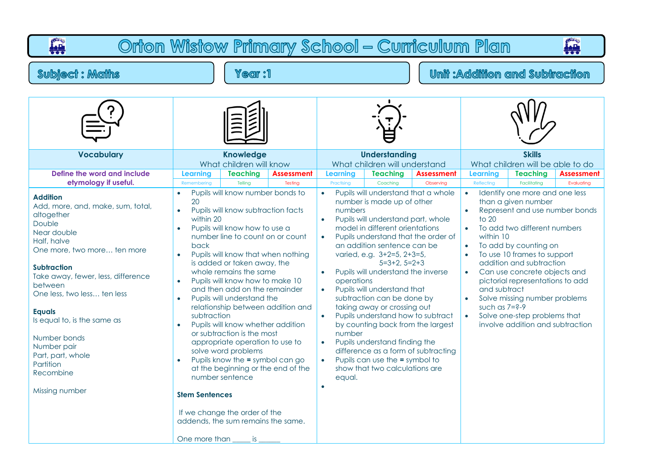| Orton Wistow Primary School - Curriculum Plan<br><b>AL</b><br><b>iele</b>                                                                                                                                                                                                                                                                                                                       |                                                                                                                                                                                                                                                                                                                                                                                                                                                                                                                                                                                                                                                                                                                                                                                                                                    |                                                                                                                                                                                                                                                                                                                                                                                                                                                                                                                                                                                                                                                                                                                                                                  |                                                                                                                                                                                                                                                                                                                                                                                                                                                                                                                                                         |  |  |  |  |  |  |
|-------------------------------------------------------------------------------------------------------------------------------------------------------------------------------------------------------------------------------------------------------------------------------------------------------------------------------------------------------------------------------------------------|------------------------------------------------------------------------------------------------------------------------------------------------------------------------------------------------------------------------------------------------------------------------------------------------------------------------------------------------------------------------------------------------------------------------------------------------------------------------------------------------------------------------------------------------------------------------------------------------------------------------------------------------------------------------------------------------------------------------------------------------------------------------------------------------------------------------------------|------------------------------------------------------------------------------------------------------------------------------------------------------------------------------------------------------------------------------------------------------------------------------------------------------------------------------------------------------------------------------------------------------------------------------------------------------------------------------------------------------------------------------------------------------------------------------------------------------------------------------------------------------------------------------------------------------------------------------------------------------------------|---------------------------------------------------------------------------------------------------------------------------------------------------------------------------------------------------------------------------------------------------------------------------------------------------------------------------------------------------------------------------------------------------------------------------------------------------------------------------------------------------------------------------------------------------------|--|--|--|--|--|--|
| <b>Subject: Maths</b>                                                                                                                                                                                                                                                                                                                                                                           | Year :1                                                                                                                                                                                                                                                                                                                                                                                                                                                                                                                                                                                                                                                                                                                                                                                                                            |                                                                                                                                                                                                                                                                                                                                                                                                                                                                                                                                                                                                                                                                                                                                                                  | <b>Unit : Addition and Subtraction</b>                                                                                                                                                                                                                                                                                                                                                                                                                                                                                                                  |  |  |  |  |  |  |
|                                                                                                                                                                                                                                                                                                                                                                                                 |                                                                                                                                                                                                                                                                                                                                                                                                                                                                                                                                                                                                                                                                                                                                                                                                                                    |                                                                                                                                                                                                                                                                                                                                                                                                                                                                                                                                                                                                                                                                                                                                                                  |                                                                                                                                                                                                                                                                                                                                                                                                                                                                                                                                                         |  |  |  |  |  |  |
| <b>Vocabulary</b>                                                                                                                                                                                                                                                                                                                                                                               | <b>Knowledge</b><br>What children will know                                                                                                                                                                                                                                                                                                                                                                                                                                                                                                                                                                                                                                                                                                                                                                                        | <b>Understanding</b><br>What children will understand                                                                                                                                                                                                                                                                                                                                                                                                                                                                                                                                                                                                                                                                                                            | <b>Skills</b><br>What children will be able to do                                                                                                                                                                                                                                                                                                                                                                                                                                                                                                       |  |  |  |  |  |  |
| Define the word and include<br>etymology if useful.                                                                                                                                                                                                                                                                                                                                             | <b>Teaching</b><br>Learning<br><b>Assessment</b><br>Telling<br>Testing<br>Remembering                                                                                                                                                                                                                                                                                                                                                                                                                                                                                                                                                                                                                                                                                                                                              | <b>Teaching</b><br><b>Learning</b><br><b>Assessment</b><br>Practising<br>Coaching<br>Observing                                                                                                                                                                                                                                                                                                                                                                                                                                                                                                                                                                                                                                                                   | <b>Teaching</b><br>Learning<br><b>Assessment</b><br>Reflecting<br>Evaluating<br>Facilitating                                                                                                                                                                                                                                                                                                                                                                                                                                                            |  |  |  |  |  |  |
| <b>Addition</b><br>Add, more, and, make, sum, total,<br>altogether<br>Double<br>Near double<br>Half, halve<br>One more, two more ten more<br><b>Subtraction</b><br>Take away, fewer, less, difference<br>between<br>One less, two less ten less<br><b>Equals</b><br>Is equal to, is the same as<br>Number bonds<br>Number pair<br>Part, part, whole<br>Partition<br>Recombine<br>Missing number | Pupils will know number bonds to<br>$\bullet$<br>20<br>Pupils will know subtraction facts<br>$\bullet$<br>within 20<br>Pupils will know how to use a<br>number line to count on or count<br>back<br>Pupils will know that when nothing<br>$\bullet$<br>is added or taken away, the<br>whole remains the same<br>Pupils will know how to make 10<br>$\bullet$<br>and then add on the remainder<br>Pupils will understand the<br>$\bullet$<br>relationship between addition and<br>subtraction<br>Pupils will know whether addition<br>$\bullet$<br>or subtraction is the most<br>appropriate operation to use to<br>solve word problems<br>Pupils know the = symbol can go<br>at the beginning or the end of the<br>number sentence<br><b>Stem Sentences</b><br>If we change the order of the<br>addends, the sum remains the same. | Pupils will understand that a whole<br>$\bullet$<br>number is made up of other<br>numbers<br>Pupils will understand part, whole<br>model in different orientations<br>Pupils understand that the order of<br>$\bullet$<br>an addition sentence can be<br>varied, e.g. 3+2=5, 2+3=5,<br>$5=3+2, 5=2+3$<br>Pupils will understand the inverse<br>$\bullet$<br>operations<br>Pupils will understand that<br>$\bullet$<br>subtraction can be done by<br>taking away or crossing out<br>Pupils understand how to subtract<br>$\bullet$<br>by counting back from the largest<br>number<br>Pupils understand finding the<br>$\bullet$<br>difference as a form of subtracting<br>Pupils can use the = symbol to<br>$\bullet$<br>show that two calculations are<br>equal. | Identify one more and one less<br>$\bullet$<br>than a given number<br>Represent and use number bonds<br>$\bullet$<br>to $20$<br>To add two different numbers<br>$\bullet$<br>within 10<br>To add by counting on<br>$\bullet$<br>To use 10 frames to support<br>$\bullet$<br>addition and subtraction<br>Can use concrete objects and<br>$\bullet$<br>pictorial representations to add<br>and subtract<br>Solve missing number problems<br>$\bullet$<br>such as $7=2-9$<br>Solve one-step problems that<br>$\bullet$<br>involve addition and subtraction |  |  |  |  |  |  |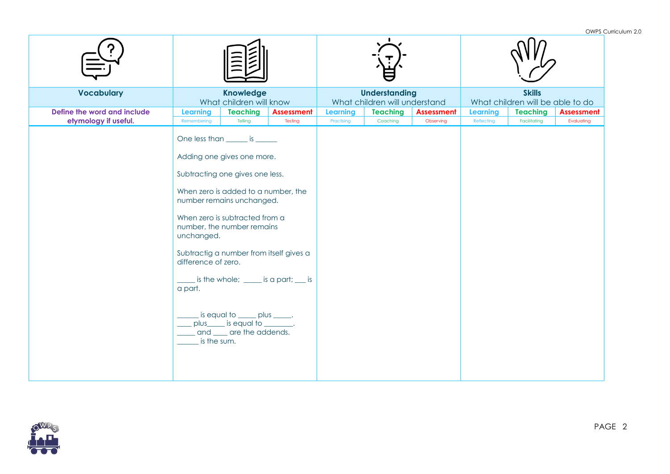| <b>Vocabulary</b>                                   |                                                             | <b>Knowledge</b><br>What children will know                                                                                                                                                                                                                                                                                                                                      |                                                     |                        | <b>Understanding</b><br>What children will understand |                                |                               | <b>Skills</b><br>What children will be able to do |                                 |  |
|-----------------------------------------------------|-------------------------------------------------------------|----------------------------------------------------------------------------------------------------------------------------------------------------------------------------------------------------------------------------------------------------------------------------------------------------------------------------------------------------------------------------------|-----------------------------------------------------|------------------------|-------------------------------------------------------|--------------------------------|-------------------------------|---------------------------------------------------|---------------------------------|--|
| Define the word and include<br>etymology if useful. | Learning<br>Remembering                                     | <b>Teaching</b><br>Telling                                                                                                                                                                                                                                                                                                                                                       | <b>Assessment</b><br>Testing                        | Learning<br>Practising | <b>Teaching</b><br>Coaching                           | <b>Assessment</b><br>Observing | <b>Learning</b><br>Reflecting | <b>Teaching</b><br>Facilitating                   | <b>Assessment</b><br>Evaluating |  |
|                                                     | unchanged.<br>difference of zero.<br>a part.<br>is the sum. | One less than ______ is ______<br>Adding one gives one more.<br>Subtracting one gives one less.<br>When zero is added to a number, the<br>number remains unchanged.<br>When zero is subtracted from a<br>number, the number remains<br>Subtractig a number from itself gives a<br>is equal to _____ plus _____.<br>_ plus_____ is equal to ________.<br>and ___ are the addends. | $\frac{1}{2}$ is the whole; _____ is a part; ___ is |                        |                                                       |                                |                               |                                                   |                                 |  |

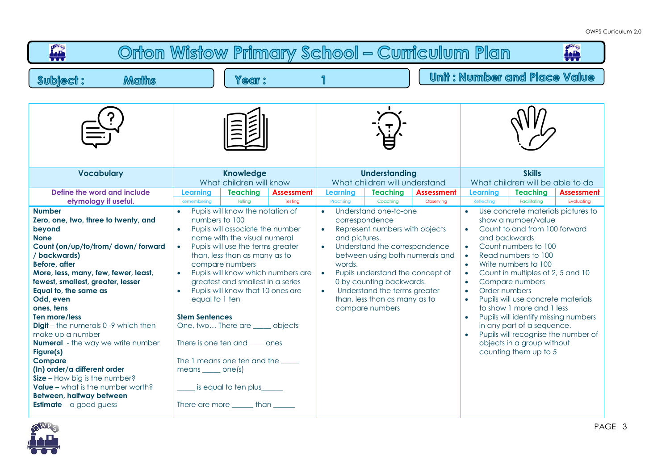| <b>OWRS</b><br>Orton Wistow Primary School - Curriculum Plan<br><u>iaih</u>                                                                                                                                                                                                                                                                                                                                                                                                                                                                                                                                                     |                                                                                                                                                |                                                                                                                                                                                                                                                                                                                                                                                                                                |                               |                                                       |                                                                                                                                                                                                                                                              |                                                                                                                                                                                                                                                                                                                                                                                                                                                                                                                                                                                                                                      |                                                   |                                 |  |
|---------------------------------------------------------------------------------------------------------------------------------------------------------------------------------------------------------------------------------------------------------------------------------------------------------------------------------------------------------------------------------------------------------------------------------------------------------------------------------------------------------------------------------------------------------------------------------------------------------------------------------|------------------------------------------------------------------------------------------------------------------------------------------------|--------------------------------------------------------------------------------------------------------------------------------------------------------------------------------------------------------------------------------------------------------------------------------------------------------------------------------------------------------------------------------------------------------------------------------|-------------------------------|-------------------------------------------------------|--------------------------------------------------------------------------------------------------------------------------------------------------------------------------------------------------------------------------------------------------------------|--------------------------------------------------------------------------------------------------------------------------------------------------------------------------------------------------------------------------------------------------------------------------------------------------------------------------------------------------------------------------------------------------------------------------------------------------------------------------------------------------------------------------------------------------------------------------------------------------------------------------------------|---------------------------------------------------|---------------------------------|--|
| <b>Maths</b><br><b>Subject:</b>                                                                                                                                                                                                                                                                                                                                                                                                                                                                                                                                                                                                 | <b>Year:</b>                                                                                                                                   |                                                                                                                                                                                                                                                                                                                                                                                                                                | 1                             |                                                       |                                                                                                                                                                                                                                                              |                                                                                                                                                                                                                                                                                                                                                                                                                                                                                                                                                                                                                                      | <b>Unit: Number and Place Value</b>               |                                 |  |
|                                                                                                                                                                                                                                                                                                                                                                                                                                                                                                                                                                                                                                 |                                                                                                                                                |                                                                                                                                                                                                                                                                                                                                                                                                                                |                               |                                                       |                                                                                                                                                                                                                                                              |                                                                                                                                                                                                                                                                                                                                                                                                                                                                                                                                                                                                                                      |                                                   |                                 |  |
| <b>Vocabulary</b>                                                                                                                                                                                                                                                                                                                                                                                                                                                                                                                                                                                                               | <b>Knowledge</b><br>What children will know                                                                                                    |                                                                                                                                                                                                                                                                                                                                                                                                                                |                               | <b>Understanding</b><br>What children will understand |                                                                                                                                                                                                                                                              |                                                                                                                                                                                                                                                                                                                                                                                                                                                                                                                                                                                                                                      | <b>Skills</b><br>What children will be able to do |                                 |  |
| Define the word and include<br>etymology if useful.                                                                                                                                                                                                                                                                                                                                                                                                                                                                                                                                                                             | <b>Teaching</b><br><b>Learning</b><br>Telling<br>Remembering                                                                                   | <b>Assessment</b><br>Testing                                                                                                                                                                                                                                                                                                                                                                                                   | <b>Learning</b><br>Practising | <b>Teaching</b><br>Coaching                           | <b>Assessment</b><br>Observing                                                                                                                                                                                                                               | <b>Learning</b><br>Reflecting                                                                                                                                                                                                                                                                                                                                                                                                                                                                                                                                                                                                        | <b>Teaching</b><br>Facilitatina                   | <b>Assessment</b><br>Evaluating |  |
| <b>Number</b><br>Zero, one, two, three to twenty, and<br>beyond<br><b>None</b><br>Count (on/up/to/from/down/forward<br>/ backwards)<br>Before, after<br>More, less, many, few, fewer, least,<br>fewest, smallest, greater, lesser<br>Equal to, the same as<br>Odd, even<br>ones, tens<br>Ten more/less<br><b>Digit</b> – the numerals 0 -9 which then<br>make up a number<br><b>Numeral</b> - the way we write number<br>Figure(s)<br><b>Compare</b><br>(In) order/a different order<br>Size - How big is the number?<br><b>Value</b> – what is the number worth?<br>Between, halfway between<br><b>Estimate</b> – a good guess | numbers to 100<br>$\bullet$<br>compare numbers<br>equal to 1 ten<br><b>Stem Sentences</b><br>$means$ one(s)<br>There are more ______ than ____ | Pupils will know the notation of<br>Pupils will associate the number<br>name with the visual numeral<br>Pupils will use the terms greater<br>than, less than as many as to<br>Pupils will know which numbers are<br>greatest and smallest in a series<br>Pupils will know that 10 ones are<br>One, two There are _____ objects<br>There is one ten and sales ones<br>The 1 means one ten and the _____<br>is equal to ten plus |                               |                                                       | Understand one-to-one<br>Represent numbers with objects<br>Understand the correspondence<br>between using both numerals and<br>Pupils understand the concept of<br>0 by counting backwards.<br>Understand the terms greater<br>than, less than as many as to | Use concrete materials pictures to<br>show a number/value<br>Count to and from 100 forward<br>$\bullet$<br>and backwards<br>Count numbers to 100<br>$\bullet$<br>Read numbers to 100<br>$\bullet$<br>Write numbers to 100<br>$\bullet$<br>Count in multiples of 2, 5 and 10<br>$\bullet$<br>Compare numbers<br>$\bullet$<br>Order numbers<br>$\bullet$<br>Pupils will use concrete materials<br>$\bullet$<br>to show 1 more and 1 less<br>Pupils will identify missing numbers<br>$\bullet$<br>in any part of a sequence.<br>Pupils will recognise the number of<br>$\bullet$<br>objects in a group without<br>counting them up to 5 |                                                   |                                 |  |



PAGE 3